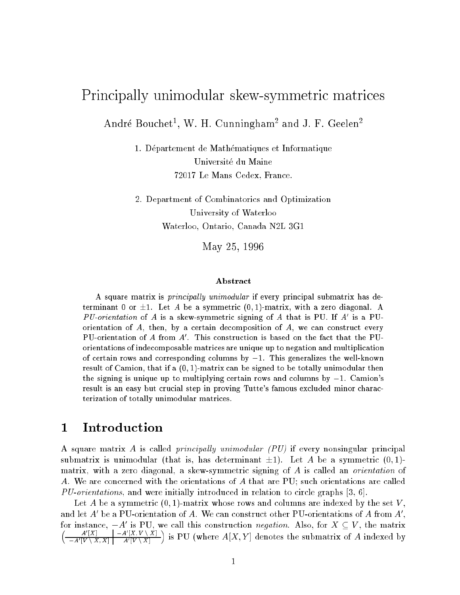# Principally unimodular skew-symmetric matrices

Andre Bouchet , W. H. Cunningham and J. F. Geelen

1. Departement de Mathematiques et Informatique Universite du Maine 72017 Le Mans Cedex, France.

2. Department of Combinatorics and Optimization University of Waterloo Waterloo, Ontario, Canada N2L 3G1

May 25, 1996

### Abstract

A square matrix is principally unimodular if every principal submatrix has determinant 0 or  $\pm 1$ . Let A be a symmetric  $(0, 1)$ -matrix, with a zero diagonal. A PU-orientation of A is a skew-symmetric signing of A that is PU. If A' is a PUorientation of  $A$ , then, by a certain decomposition of  $A$ , we can construct every PU-orientation of A from A'. This construction is based on the fact that the PUorientations of indecomposable matrices are unique up to negation and multiplication of certain rows and corresponding columns by  $-1$ . This generalizes the well-known result of Camion, that if a  $(0, 1)$ -matrix can be signed to be totally unimodular then the signing is unique up to multiplying certain rows and columns by  $-1$ . Camion's result is an easy but crucial step in proving Tutte's famous excluded minor characterization of totally unimodular matrices.

#### 1Introduction

A square matrix A is called *principally unimodular (PU)* if every nonsingular principal submatrix is unimodular (that is, has determinant  $\pm 1$ ). Let A be a symmetric  $(0, 1)$ matrix, with a zero diagonal, a skew-symmetric signing of A is called an *orientation* of A. We are concerned with the orientations of A that are PU; such orientations are called  $PU\text{-}orientations$ , and were initially introduced in relation to circle graphs [3, 6].

Let A be a symmetric  $(0, 1)$ -matrix whose rows and columns are indexed by the set V, and let  $A'$  be a PU-orientation of A. We can construct other PU-orientations of A from  $A'$ , for instance,  $-A'$  is PU, we call this construction *negation*. Also, for  $X \subseteq V$ , the matrix  $\left( \begin{array}{cc} A'[X] & | & -A'[X, V \setminus X] \end{array} \right)$  $-A'|V \setminus X, X|$   $A'|V \setminus X|$ ) is PU (where  $A[X, Y]$  denotes the submatrix of A indexed by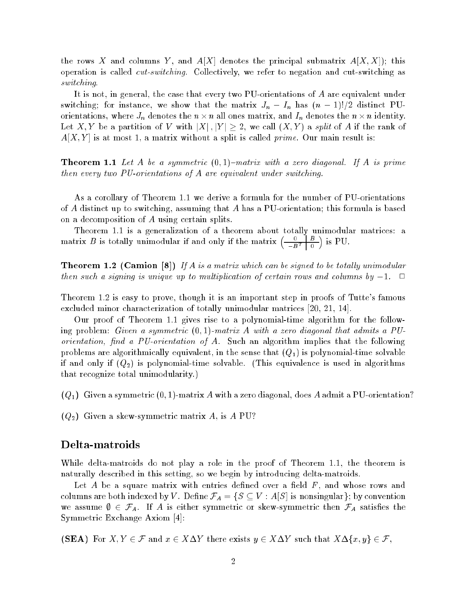the rows X and columns Y, and  $A[X]$  denotes the principal submatrix  $A[X, X]$ ; this operation is called cut-switching. Collectively, we refer to negation and cut-switching as switching.

It is not, in general, the case that every two PU-orientations of A are equivalent under switching; for instance, we show that the matrix  $J_n - I_n$  has  $(n-1)!/2$  distinct PUorientations, where  $J_n$  denotes the  $n \times n$  all ones matrix, and  $I_n$  denotes the  $n \times n$  identity. Let X, Y be a partition of V with  $|X|, |Y| \geq 2$ , we call  $(X, Y)$  a split of A if the rank of  $A[X, Y]$  is at most 1, a matrix without a split is called *prime*. Our main result is:

**Theorem 1.1** Let A be a symmetric  $(0,1)$ -matrix with a zero diagonal. If A is prime then every two PU-orientations of A are equivalent under switching.

As a corollary of Theorem 1.1 we derive a formula for the number of PU-orientations of A distinct up to switching, assuming that A has a PU-orientation; this formula is based on a decomposition of A using certain splits.

Theorem 1.1 is a generalization of a theorem about totally unimodular matrices: a matrix B is totally unimodular if and only if the matrix  $\begin{pmatrix} 0 & B \\ -\frac{2}{\sigma} & B \end{pmatrix}$  $-B<sup>T</sup>$  | 0  $\sim$ 

**Theorem 1.2 (Camion [8])** If A is a matrix which can be signed to be totally unimodular then such a signing is unique up to multiplication of certain rows and columns by  $-1$ .  $\Box$ 

Theorem 1.2 is easy to prove, though it is an important step in proofs of Tutte's famous excluded minor characterization of totally unimodular matrices [20, 21, 14].

Our proof of Theorem 1.1 gives rise to a polynomial-time algorithm for the following problem: Given a symmetric  $(0,1)$ -matrix A with a zero diagonal that admits a PUorientation, find a PU-orientation of A. Such an algorithm implies that the following problems are algorithmically equivalent, in the sense that  $(Q_1)$  is polynomial-time solvable if and only if  $(Q_2)$  is polynomial-time solvable. (This equivalence is used in algorithms that recognize total unimodularity.)

 $(Q_1)$  Given a symmetric  $(0, 1)$ -matrix A with a zero diagonal, does A admit a PU-orientation?

 $(Q_2)$  Given a skew-symmetric matrix A, is A PU?

While delta-matroids do not play a role in the proof of Theorem 1.1, the theorem is naturally described in this setting, so we begin by introducing delta-matroids.

Let A be a square matrix with entries defined over a field  $F$ , and whose rows and columns are both indexed by V. Define  $\mathcal{F}_A = \{S \subseteq V : A[S] \text{ is nonsingular}\};$  by convention we assume  $\emptyset \in \mathcal{F}_A$ . If A is either symmetric or skew-symmetric then  $\mathcal{F}_A$  satisfies the Symmetric Exchange Axiom [4]:

(SEA) For  $X, Y \in \mathcal{F}$  and  $x \in X\Delta Y$  there exists  $y \in X\Delta Y$  such that  $X\Delta \{x, y\} \in \mathcal{F}$ ,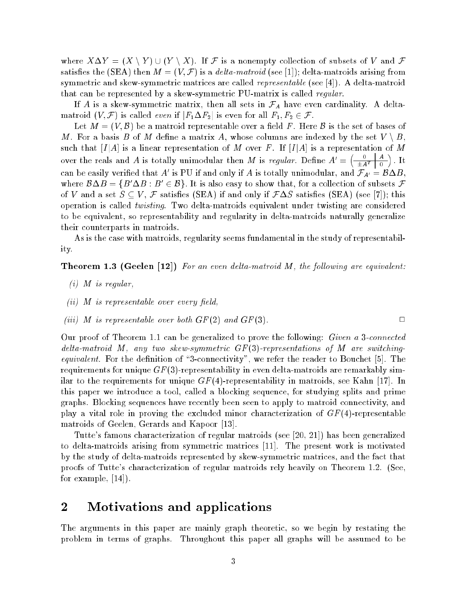where  $X\Delta Y = (X \setminus Y) \cup (Y \setminus X)$ . If F is a nonempty collection of subsets of V and F satisfies the (SEA) then  $M = (V, \mathcal{F})$  is a *delta-matroid* (see [1]); delta-matroids arising from symmetric and skew-symmetric matrices are called *representable* (see [4]). A delta-matroid that can be represented by a skew-symmetric PU-matrix is called regular.

If A is a skew-symmetric matrix, then all sets in  $\mathcal{F}_A$  have even cardinality. A deltamatroid  $(V, \mathcal{F})$  is called *even* if  $|F_1 \Delta F_2|$  is even for all  $F_1, F_2 \in \mathcal{F}$ .

Let  $M = (V, \mathcal{B})$  be a matroid representable over a field F. Here  $\mathcal{B}$  is the set of bases of M. For a basis B of M define a matrix A, whose columns are indexed by the set  $V \setminus B$ . such that  $[I|A]$  is a linear representation of  $M$  over  $F$ . If  $[I|A]$  is a representation of  $M$ over the reals and A is totally unimodular then M is regular. Define  $A' = \begin{pmatrix} 0 & A \\ -\frac{A}{2a} & 0 \end{pmatrix}$  $\pm A^I$  | 0  $\sim$ : It can be easily verified that A' is PU if and only if A is totally unimodular, and  $\mathcal{F}_{A'} = \mathcal{B} \Delta B$ , where  $\mathcal{B}\Delta B = \{B'\Delta B : B' \in \mathcal{B}\}\.$  It is also easy to show that, for a collection of subsets  $\mathcal{F}$ of V and a set  $S \subseteq V$ , F satisfies (SEA) if and only if  $F\Delta S$  satisfies (SEA) (see [7]); this operation is called twisting. Two delta-matroids equivalent under twisting are considered to be equivalent, so representability and regularity in delta-matroids naturally generalize their counterparts in matroids.

As is the case with matroids, regularity seems fundamental in the study of representability.

**Theorem 1.3 (Geelen [12])** For an even delta-matroid M, the following are equivalent:

- $(i)$  M is regular,
- $(ii)$  M is representable over every field,
- (iii) M is representable over both  $GF(2)$  and  $GF(3)$ .

Our proof of Theorem 1.1 can be generalized to prove the following: Given a 3-connected delta-matroid M, any two skew-symmetric  $GF(3)$ -representations of M are switching*equivalent.* For the definition of "3-connectivity", we refer the reader to Bouchet  $[5]$ . The requirements for unique  $GF(3)$ -representability in even delta-matroids are remarkably similar to the requirements for unique  $GF(4)$ -representability in matroids, see Kahn [17]. In this paper we introduce a tool, called a blocking sequence, for studying splits and prime graphs. Blocking sequences have recently been seen to apply to matroid connectivity, and play a vital role in proving the excluded minor characterization of  $GF(4)$ -representable matroids of Geelen, Gerards and Kapoor [13].

Tutte's famous characterization of regular matroids (see [20, 21]) has been generalized to delta-matroids arising from symmetric matrices [11]. The present work is motivated by the study of delta-matroids represented by skew-symmetric matrices, and the fact that proofs of Tutte's characterization of regular matroids rely heavily on Theorem 1.2. (See, for example, [14]).

#### 2Motivations and applications

The arguments in this paper are mainly graph theoretic, so we begin by restating the problem in terms of graphs. Throughout this paper all graphs will be assumed to be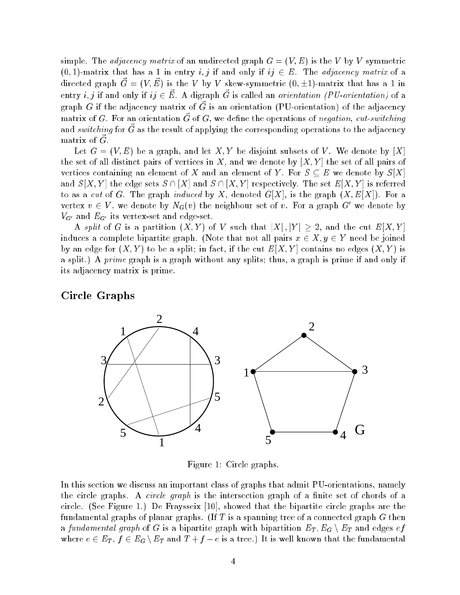simple. The *adjacency matrix* of an undirected graph  $G = (V, E)$  is the V by V symmetric  $(0, 1)$ -matrix that has a 1 in entry i, j if and only if ij  $\in E$ . The adjacency matrix of a directed graph  $\vec{G} = (V, \vec{E})$  is the V by V skew-symmetric  $(0, \pm 1)$ -matrix that has a 1 in entry *i*, *j* if and only if  $ij \in \vec{E}$ . A digraph  $\vec{G}$  is called an *orientation* (PU-orientation) of a graph G if the adjacency matrix of  $\vec{G}$  is an orientation (PU-orientation) of the adjacency matrix of G. For an orientation  $\vec{G}$  of G, we define the operations of negation, cut-switching and switching for  $\vec{G}$  as the result of applying the corresponding operations to the adjacency matrix of  $\vec{G}$ .

Let  $G = (V, E)$  be a graph, and let X, Y be disjoint subsets of V. We denote by [X] the set of all distinct pairs of vertices in X, and we denote by  $[X, Y]$  the set of all pairs of vertices containing an element of X and an element of Y. For  $S \subseteq E$  we denote by  $S[X]$ and  $S[X, Y]$  the edge sets  $S \cap [X]$  and  $S \cap [X, Y]$  respectively. The set  $E[X, Y]$  is referred to as a cut of G. The graph induced by X, denoted  $G[X]$ , is the graph  $(X, E[X])$ . For a vertex  $v \in V$ , we denote by  $N_G(v)$  the neighbour set of v. For a graph G' we denote by  $V_{G'}$  and  $E_{G'}$  its vertex-set and edge-set.

A split of G is a partition  $(X,Y)$  of V such that  $|X|,|Y| \geq 2$ , and the cut  $E[X,Y]$ induces a complete bipartite graph. (Note that not all pairs  $x \in X, y \in Y$  need be joined by an edge for  $(X, Y)$  to be a split; in fact, if the cut  $E[X, Y]$  contains no edges  $(X, Y)$  is a split.) A *prime* graph is a graph without any splits; thus, a graph is prime if and only if its adjacency matrix is prime.

### Circle Graphs Circle Graphs (Circle Graphs Circle Graphs Circle Graphs Circle Graphs Circle Graphs Circle Graphs Circle Graphs Circle Graphs Circle Graphs Circle Graphs Circle Graphs Circle Graphs Circle Graphs Circle Grap



Figure 1: Circle graphs.

In this section we discuss an important class of graphs that admit PU-orientations, namely the circle graphs. A *circle graph* is the intersection graph of a finite set of chords of a circle. (See Figure 1.) De Fraysseix [10], showed that the bipartite circle graphs are the fundamental graphs of planar graphs. (If T is a spanning tree of a connected graph  $G$  then a fundamental graph of G is a bipartite graph with bipartition  $E_T$ ,  $E_G \setminus E_T$  and edges ef where  $e \in E_T$ ,  $f \in E_G \setminus E_T$  and  $T + f - e$  is a tree.) It is well known that the fundamental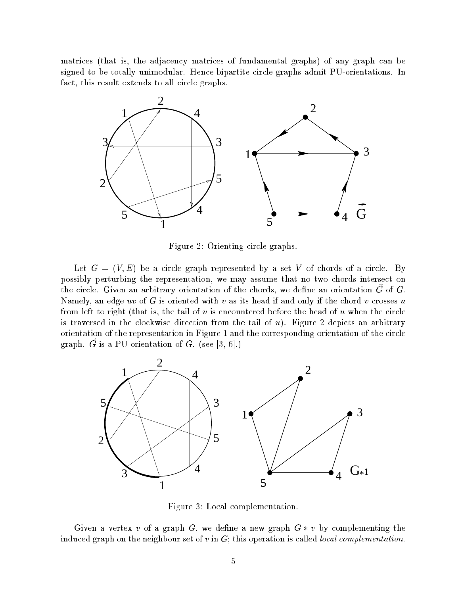matrices (that is, the adjacency matrices of fundamental graphs) of any graph can be signed to be totally unimodular. Hence bipartite circle graphs admit PU-orientations. In fact, this result extends to all circle graphs.



Figure 2: Orienting circle graphs.

Let  $G = (V, E)$  be a circle graph represented by a set V of chords of a circle. By possibly perturbing the representation, we may assume that no two chords intersect on the circle. Given an arbitrary orientation of the chords, we define an orientation  $\vec{G}$  of  $G$ . Namely, an edge uv of G is oriented with v as its head if and only if the chord v crosses  $u$ from left to right (that is, the tail of  $v$  is encountered before the head of  $u$  when the circle is traversed in the clockwise direction from the tail of  $u$ ). Figure 2 depicts an arbitrary orientation of the representation in Figure 1 and the corresponding orientation of the circle graph.  $\vec{G}$  is a PU-orientation of G. (see [3, 6].)



Figure 3: Local complementation.

Given a vertex v of a graph G, we define a new graph  $G * v$  by complementing the induced graph on the neighbour set of  $v$  in  $G$ ; this operation is called *local complementation*.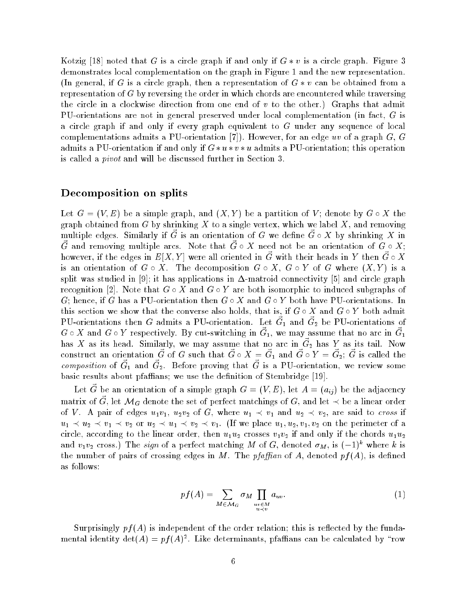Kotzig [18] noted that G is a circle graph if and only if  $G * v$  is a circle graph. Figure 3 demonstrates local complementation on the graph in Figure 1 and the new representation. (In general, if G is a circle graph, then a representation of  $G * v$  can be obtained from a representation of G by reversing the order in which chords are encountered while traversing the circle in a clockwise direction from one end of  $v$  to the other.) Graphs that admit PU-orientations are not in general preserved under local complementation (in fact, G is a circle graph if and only if every graph equivalent to  $G$  under any sequence of local complementations admits a PU-orientation [7]). However, for an edge uv of a graph  $G, G$ admits a PU-orientation if and only if  $G * u * v * u$  admits a PU-orientation; this operation is called a pivot and will be discussed further in Section 3.

### Decomposition on splits

Let  $G = (V, E)$  be a simple graph, and  $(X, Y)$  be a partition of V; denote by  $G \circ X$  the graph obtained from  $G$  by shrinking  $X$  to a single vertex, which we label  $X$ , and removing multiple edges. Similarly if  $\vec{G}$  is an orientation of G we define  $\vec{G} \circ X$  by shrinking X in  $\vec{G}$  and removing multiple arcs. Note that  $\vec{G} \circ X$  need not be an orientation of  $\vec{G} \circ X$ ; however, if the edges in  $E[X, Y]$  were all oriented in  $\tilde{G}$  with their heads in Y then  $\tilde{G} \circ X$ is an orientation of  $G \circ X$ . The decomposition  $G \circ X$ ,  $G \circ Y$  of G where  $(X, Y)$  is a split was studied in [9]; it has applications in  $\Delta$ -matroid connectivity [5] and circle graph recognition [2]. Note that  $G \circ X$  and  $G \circ Y$  are both isomorphic to induced subgraphs of G; hence, if G has a PU-orientation then  $G \circ X$  and  $G \circ Y$  both have PU-orientations. In this section we show that the converse also holds, that is, if  $G \circ X$  and  $G \circ Y$  both admit PU-orientations then G admits a PU-orientation. Let  $\vec{G}_1$  and  $\vec{G}_2$  be PU-orientations of  $G\circ X$  and  $G\circ Y$  respectively. By cut-switching in  $\vec G_1,$  we may assume that no arc in  $\vec G$ has X as its head. Similarly, we may assume that no arc in  $\vec{G}_2$  has Y as its tail. Now construct an orientation  $\vec{G}$  of G such that  $\vec{G} \circ X = \vec{G}_1$  and  $\vec{G} \circ Y = \vec{G}_2$ ;  $\vec{G}$  is called the composition of  $\vec{G}_1$  and  $\vec{G}_2$ . Before proving that  $\vec{G}$  is a PU-orientation, we review some basic results about pfaffians; we use the definition of Stembridge [19].

Let G be an orientation of a simple graph  $G = (V, E)$ , let  $A = (a_{ij})$  be the adjacency matrix of  $\vec{G}$ , let  $\mathcal{M}_G$  denote the set of perfect matchings of  $G$ , and let  $\prec$  be a linear order of V. A pair of edges  $u_1v_1$ ,  $u_2v_2$  of G, where  $u_1 \prec v_1$  and  $u_2 \prec v_2$ , are said to cross if  $u_1 \prec u_2 \prec v_1 \prec v_2$  or  $u_2 \prec u_1 \prec v_2 \prec v_1$ . (If we place  $u_1, u_2, v_1, v_2$  on the perimeter of a circle, according to the linear order, then  $u_1u_2$  crosses  $v_1v_2$  if and only if the chords  $u_1u_2$ and  $v_1v_2$  cross.) The *sign* of a perfect matching M of G, denoted  $\sigma_M$ , is  $(-1)^k$  where k is the number of pairs of crossing edges in M. The pfaffian of A, denoted  $pf(A)$ , is defined as follows:

$$
pf(A) = \sum_{M \in \mathcal{M}_G} \sigma_M \prod_{\substack{uv \in M \\ u \prec v}} a_{uv}.
$$
 (1)

Surprisingly  $pf(A)$  is independent of the order relation; this is reflected by the fundamental identity  $\det(A) = pf(A)^2$ . Like determinants, pfaffians can be calculated by "row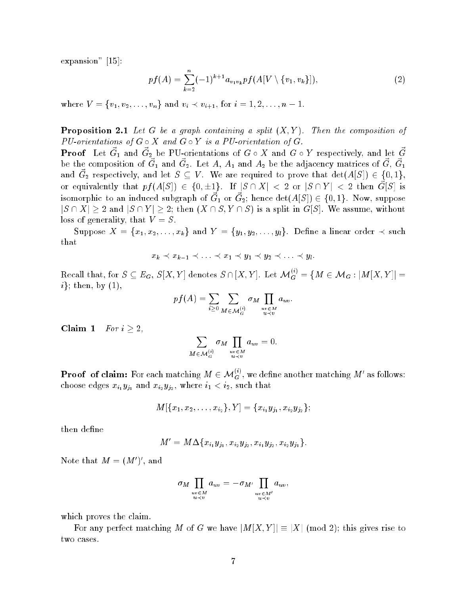expansion" [15]:

$$
pf(A) = \sum_{k=2}^{n} (-1)^{k+1} a_{v_1 v_k} pf(A[V \setminus \{v_1, v_k\}]), \tag{2}
$$

where  $V = \{v_1, v_2, \ldots, v_n\}$  and  $v_i \prec v_{i+1}$ , for  $i = 1, 2, \ldots, n-1$ .

**Proposition 2.1** Let G be a graph containing a split  $(X, Y)$ . Then the composition of PU-orientations of  $G \circ X$  and  $G \circ Y$  is a PU-orientation of  $G$ .

**Proof** Let  $\vec{G}_1$  and  $\vec{G}_2$  be PU-orientations of  $G \circ X$  and  $G \circ Y$  respectively, and let  $\vec{G}$ be the composition of  $\vec{G}_1$  and  $\vec{G}_2$ . Let A,  $A_1$  and  $A_2$  be the adjacency matrices of  $\vec{G}, \ \vec{G}_1$ and  $\vec{G}_2$  respectively, and let  $S \subseteq V$ . We are required to prove that  $\det(A[S]) \in \{0,1\},$ or equivalently that  $pf(A[S]) \in \{0, \pm 1\}$ . If  $|S \cap X| < 2$  or  $|S \cap Y| < 2$  then  $\vec{G}[S]$  is isomorphic to an induced subgraph of  $\vec{G}_1$  or  $\vec{G}_2;$  hence  $\det(A[S]) \in \{0,1\}.$  Now, suppose  $|S \cap X| \geq 2$  and  $|S \cap Y| \geq 2$ ; then  $(X \cap S, Y \cap S)$  is a split in  $G[S]$ . We assume, without loss of generality, that  $V = S$ .

Suppose  $X = \{x_1, x_2, \ldots, x_k\}$  and  $Y = \{y_1, y_2, \ldots, y_l\}$ . Define a linear order  $\prec$  such that

$$
x_k \prec x_{k-1} \prec \ldots \prec x_1 \prec y_1 \prec y_2 \prec \ldots \prec y_l.
$$

 ${\rm Recall\ that}, {\rm for}\ S\subseteq E_G,\ S[X,Y] \ {\rm denotes}\ S\cap [X,Y]. \ \ {\rm Let}\ \mathcal{M}_G^{(i)}=\{M\in \mathcal{M}_G: |M[X,Y]|=1\}$  $i$ ; then, by  $(1)$ ,

$$
pf(A) = \sum_{i \geq 0} \sum_{M \in \mathcal{M}_G^{(i)}} \sigma_M \prod_{\substack{uv \in M \\ u \prec v}} a_{uv}.
$$

Claim 1  $For i \geq 2$ ,

$$
\sum_{M \in \mathcal{M}_G^{(i)}} \sigma_M \prod_{\substack{uv \in M \\ u \prec v}} a_{uv} = 0.
$$

**Proof of claim:** For each matching  $M \in \mathcal{M}_G^{(i)}$ , we define another matching  $M'$  as follows: choose edges  $x_{i_1}y_{j_1}$  and  $x_{i_2}y_{j_2}$ , where  $i_1 < i_2$ , such that

$$
M[\{x_1,x_2,\ldots,x_{i_2}\},Y]=\{x_{i_1}y_{j_1},x_{i_2}y_{j_2}\};
$$

then define

$$
M' = M \Delta \{x_{i_1} y_{j_1}, x_{i_2} y_{j_2}, x_{i_1} y_{j_2}, x_{i_2} y_{j_1}\}.
$$

Note that  $M = (M')'$ , and

$$
\sigma_M \prod_{\substack{uv \in M \\ u \prec v}} a_{uv} = -\sigma_{M'} \prod_{\substack{uv \in M' \\ u \prec v'}} a_{uv},
$$

which proves the claim.

For any perfect matching M of G we have  $|M[X, Y]| \equiv |X| \pmod{2}$ ; this gives rise to two cases.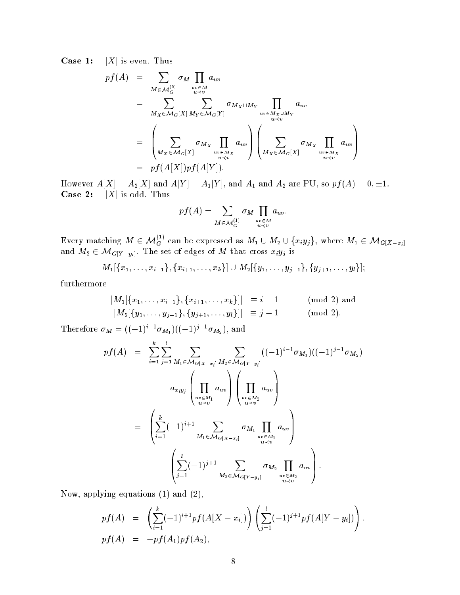**Case 1:** |X| is even. Thus

$$
pf(A) = \sum_{M \in \mathcal{M}_G^{(0)}} \sigma_M \prod_{u \in M \atop u \prec v} a_{uv}
$$
  
\n
$$
= \sum_{M_X \in \mathcal{M}_G[X]} \sum_{M_Y \in \mathcal{M}_G[Y]} \sigma_{M_X \cup M_Y} \prod_{u \in M_X \cup M_Y \atop u \prec v} a_{uv}
$$
  
\n
$$
= \left( \sum_{M_X \in \mathcal{M}_G[X]} \sigma_{M_X} \prod_{\substack{u \in M_X \atop u \prec v}} a_{uv} \right) \left( \sum_{M_X \in \mathcal{M}_G[X]} \sigma_{M_X} \prod_{\substack{u \in M_X \atop u \prec v}} a_{uv} \right)
$$
  
\n
$$
= pf(A[X])pf(A[Y]).
$$

However  $A[X] = A_2[X]$  and  $A[Y] = A_1[Y]$ , and  $A_1$  and  $A_2$  are PU, so  $pf(A) = 0, \pm 1$ . **Case 2:**  $|X|$  is odd. Thus

$$
pf(A) = \sum_{M \in \mathcal{M}_G^{(1)}} \sigma_M \prod_{\substack{uv \in M \\ u \prec v}} a_{uv}.
$$

Every matching  $M \in \mathcal{M}_G^{(1)}$  can be expressed as  $M_1 \cup M_2 \cup \{x_iy_j\}$ , where  $M_1 \in \mathcal{M}_{G[X-x_i]}$ and  $M_2 \in \mathcal{M}_{G[Y-y_i]}$ . The set of edges of M that cross  $x_i y_j$  is

$$
M_1[\{x_1,\ldots,x_{i-1}\},\{x_{i+1},\ldots,x_k\}]\cup M_2[\{y_1,\ldots,y_{j-1}\},\{y_{j+1},\ldots,y_l\}];
$$

furthermore

$$
|M_1[\{x_1,\ldots,x_{i-1}\},\{x_{i+1},\ldots,x_k\}]| \equiv i-1 \qquad \text{(mod 2) and}
$$
  

$$
|M_2[\{y_1,\ldots,y_{j-1}\},\{y_{j+1},\ldots,y_l\}]| \equiv j-1 \qquad \text{(mod 2).}
$$

Therefore  $\sigma_M = ((-1)^{i-1} \sigma_{M_1}) ((-1)^{j-1} \sigma_{M_2}),$  and

$$
pf(A) = \sum_{i=1}^{k} \sum_{j=1}^{l} \sum_{M_1 \in \mathcal{M}_{G[X-x_i]}} \sum_{M_2 \in \mathcal{M}_{G[Y-y_i]}} ((-1)^{i-1} \sigma_{M_1}) ((-1)^{j-1} \sigma_{M_2})
$$

$$
a_{x_i y_j} \left( \prod_{\substack{uv \in M_1 \\ u \prec v}} a_{uv} \right) \left( \prod_{\substack{uv \in M_2 \\ u \prec v}} a_{uv} \right)
$$

$$
= \left( \sum_{i=1}^{k} (-1)^{i+1} \sum_{M_1 \in \mathcal{M}_{G[X-x_i]}} \sigma_{M_1} \prod_{\substack{uv \in M_1 \\ u \prec v}} a_{uv} \right)
$$

$$
\left( \sum_{j=1}^{l} (-1)^{j+1} \sum_{M_2 \in \mathcal{M}_{G[Y-y_i]}} \sigma_{M_2} \prod_{\substack{uv \in M_2 \\ u \prec v}} a_{uv} \right).
$$

Now, applying equations (1) and (2),

$$
pf(A) = \left(\sum_{i=1}^{k} (-1)^{i+1} pf(A[X - x_i])\right) \left(\sum_{j=1}^{l} (-1)^{j+1} pf(A[Y - y_i])\right)
$$
  
\n
$$
pf(A) = -pf(A_1)pf(A_2),
$$

: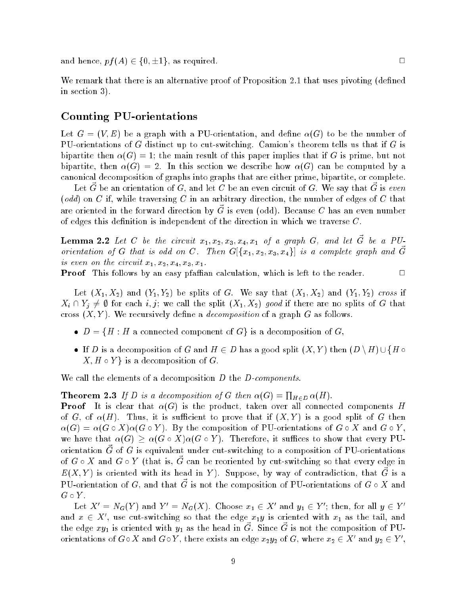and hence,  $pf(A) \in \{0, \pm 1\}$ , as required.

We remark that there is an alternative proof of Proposition 2.1 that uses pivoting (defined in section 3).

### Counting PU-orientations

Let  $G = (V, E)$  be a graph with a PU-orientation, and define  $\alpha(G)$  to be the number of PU-orientations of G distinct up to cut-switching. Camion's theorem tells us that if G is bipartite then  $\alpha(G) = 1$ ; the main result of this paper implies that if G is prime, but not bipartite, then  $\alpha(G) = 2$ . In this section we describe how  $\alpha(G)$  can be computed by a canonical decomposition of graphs into graphs that are either prime, bipartite, or complete.

Let  $\vec{G}$  be an orientation of  $G,$  and let  $C$  be an even circuit of  $G.$  We say that  $\vec{G}$  is even  $(odd)$  on C if, while traversing C in an arbitrary direction, the number of edges of C that are oriented in the forward direction by  $\vec{G}$  is even (odd). Because C has an even number of edges this definition is independent of the direction in which we traverse  $C$ .

**Lemma 2.2** Let C be the circuit  $x_1, x_2, x_3, x_4, x_1$  of a graph G, and let  $\vec{G}$  be a PUorientation of G that is odd on C. Then  $G[{x_1, x_2, x_3, x_4}]$  is a complete graph and  $\vec{G}$ is even on the circuit  $x_1, x_2, x_4, x_3, x_1$ .

**Proof** This follows by an easy pfaffian calculation, which is left to the reader.

Let  $(X_1, X_2)$  and  $(Y_1, Y_2)$  be splits of G. We say that  $(X_1, X_2)$  and  $(Y_1, Y_2)$  cross if  $X_i \cap Y_j \neq \emptyset$  for each i, j; we call the split  $(X_1, X_2)$  good if there are no splits of G that cross  $(X, Y)$ . We recursively define a *decomposition* of a graph G as follows.

- $D = \{H : H$  a connected component of  $G\}$  is a decomposition of G,
- If D is a decomposition of G and  $H \in D$  has a good split  $(X, Y)$  then  $(D \setminus H) \cup \{H \circ$  $X, H \circ Y$  is a decomposition of G.

We call the elements of a decomposition  $D$  the  $D$ -components.

### **Theorem 2.3** If D is a decomposition of G then  $\alpha(G) = \prod_{H \in D} \alpha(H)$ .

**Proof** It is clear that  $\alpha(G)$  is the product, taken over all connected components H of G, of  $\alpha(H)$ . Thus, it is sufficient to prove that if  $(X, Y)$  is a good split of G then  $\alpha(G) = \alpha(G \circ X)\alpha(G \circ Y).$  By the composition of PU-orientations of  $G \circ X$  and  $G \circ Y,$ we have that  $\alpha(G) > \alpha(G \circ X)\alpha(G \circ Y)$ . Therefore, it suffices to show that every PUorientation  $\vec{G}$  of G is equivalent under cut-switching to a composition of PU-orientations of  $G \circ X$  and  $G \circ Y$  (that is,  $\vec{G}$  can be reoriented by cut-switching so that every edge in  $E(X,Y)$  is oriented with its head in Y). Suppose, by way of contradiction, that  $\vec{G}$  is a PU-orientation of G, and that  $\vec{G}$  is not the composition of PU-orientations of  $G \circ X$  and  $G \circ Y$ .

Let  $X' = N_G(Y)$  and  $Y' = N_G(X)$ . Choose  $x_1 \in X'$  and  $y_1 \in Y'$ ; then, for all  $y \in Y'$ and  $x \in X'$ , use cut-switching so that the edge  $x_1y$  is oriented with  $x_1$  as the tail, and the edge  $xy_1$  is oriented with  $y_1$  as the head in  $\vec{G}$ . Since  $\vec{G}$  is not the composition of PUorientations of  $G \circ X$  and  $G \circ Y$ , there exists an edge  $x_2y_2$  of G, where  $x_2 \in X'$  and  $y_2 \in Y'$ ,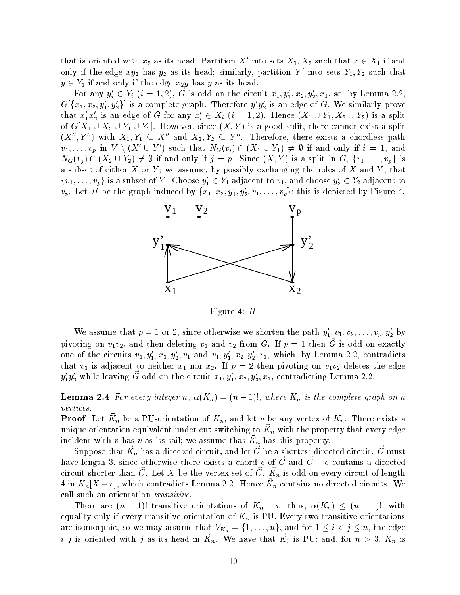that is oriented with  $x_2$  as its head. Partition X' into sets  $X_1, X_2$  such that  $x \in X_1$  if and only if the edge  $xy_2$  has  $y_2$  as its head; similarly, partition Y' into sets  $Y_1, Y_2$  such that  $y \in Y_1$  if and only if the edge  $x_2y$  has y as its head.

For any  $y_i' \in Y_i$   $(i = 1, 2)$ ,  $\vec{G}$  is odd on the circuit  $x_1, y_1', x_2, y_2', x_1$ , so, by Lemma 2.2,  $G[\{x_1,x_2,y_1',y_2'\}]$  is a complete graph. Therefore  $y_1'y_2'$  is an edge of  $G$ . We similarly prove that  $x_1'x_2'$  is an edge of G for any  $x_i' \in X_i$   $(i = 1, 2)$ . Hence  $(X_1 \cup Y_1, X_2 \cup Y_2)$  is a split of  $G[X_1 \cup X_2 \cup Y_1 \cup Y_2]$ . However, since  $(X, Y)$  is a good split, there cannot exist a split  $(X'', Y'')$  with  $X_1, Y_1 \subseteq X''$  and  $X_2, Y_2 \subseteq Y''$ . Therefore, there exists a chordless path  $v_1,\ldots,v_p \text{ in } V\setminus (X'\cup Y')$  such that  $N_G(v_i)\cap (X_1\cup Y_1)\neq \emptyset$  if and only if  $i\,=\,1,$  and  $N_G(v_j) \cap (X_2 \cup Y_2) \neq \emptyset$  if and only if  $j = p$ . Since  $(X, Y)$  is a split in  $G, \{v_1, \ldots, v_p\}$  is a subset of either X or Y; we assume, by possibly exchanging the roles of X and Y, that  $\{v_1,\ldots,v_p\}$  is a subset of Y. Choose  $y_1' \in Y_1$  adjacent to  $v_1$ , and choose  $y_2' \in Y_2$  adjacent to  $v_p$ . Let H be the graph induced by  $\{x_1, x_2, y_1', y_2', v_1, \ldots, v_p\}$ ; this is depicted by Figure 4.



Figure 4: H

We assume that  $p = 1$  or 2, since otherwise we shorten the path  $y_1, v_1, v_2, \ldots, v_p, y_2$  by pivoting on  $v_1v_2$ , and then deleting  $v_1$  and  $v_2$  from G. If  $p=1$  then  $\vec{G}$  is odd on exactly one of the circuits  $v_1, y_1, x_1, y_2, v_1$  and  $v_1, y_1, x_2, y_2, v_1$ , which, by Lemma 2.2, contradicts that  $v_1$  is adjacent to neither  $x_1$  nor  $x_2$ . If  $p = 2$  then pivoting on  $v_1v_2$  deletes the edge  $y_1'y_2'$  while leaving  $\vec{G}$  odd on the circuit  $x_1, y_1', x_2, y_2', x_1$ , contradicting Lemma 2.2.  $\Box$ 

**Lemma 2.4** For every integer n,  $\alpha(K_n) = (n-1)!$ , where  $K_n$  is the complete graph on n vertices.

**Proof** Let  $\vec{K}_n$  be a PU-orientation of  $K_n$ , and let v be any vertex of  $K_n$ . There exists a unique orientation equivalent under cut-switching to  $\vec{K}_n$  with the property that every edge incident with v has v as its tail; we assume that  $\vec{K}_n$  has this property.

Suppose that  $\vec{K}_n$  has a directed circuit, and let  $\vec{C}$  be a shortest directed circuit.  $\vec{C}$  must have length 3, since otherwise there exists a chord  $e$  of  $\vec{C}$  and  $\vec{C}+e$  contains a directed circuit shorter than  $\vec{C}$ . Let X be the vertex set of  $\vec{C}$ .  $\vec{K}_n$  is odd on every circuit of length 4 in  $K_n[X + v]$ , which contradicts Lemma 2.2. Hence  $\vec{K}_n$  contains no directed circuits. We call such an orientation *transitive*.

There are  $(n-1)!$  transitive orientations of  $K_n - v$ ; thus,  $\alpha(K_n) \leq (n-1)!$ , with equality only if every transitive orientation of  $K_n$  is PU. Every two transitive orientations are isomorphic, so we may assume that  $V_{K_n} = \{1, \ldots, n\}$ , and for  $1 \leq i < j \leq n$ , the edge i, j is oriented with j as its head in  $\vec{K}_n$ . We have that  $\vec{K}_3$  is PU; and, for  $n > 3$ ,  $K_n$  is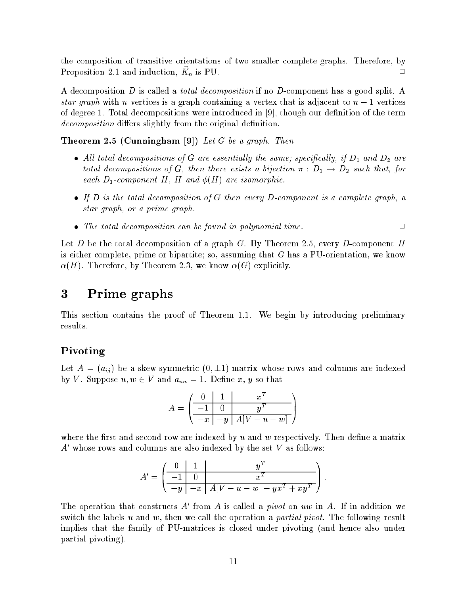the composition of transitive orientations of two smaller complete graphs. Therefore, by Proposition 2.1 and induction,  $\vec{K}_n$  is PU.

A decomposition D is called a *total decomposition* if no D-component has a good split. A star graph with n vertices is a graph containing a vertex that is adjacent to  $n-1$  vertices of degree 1. Total decompositions were introduced in  $[9]$ , though our definition of the term decomposition differs slightly from the original definition.

Theorem 2.5 (Cunningham [9]) Let G be a graph. Then

- All total decompositions of G are essentially the same; specifically, if  $D_1$  and  $D_2$  are total decompositions of G, then there exists a bijection  $\pi : D_1 \rightarrow D_2$  such that, for each  $D_1$ -component H, H and  $\phi(H)$  are isomorphic.
- If D is the total decomposition of G then every D-component is a complete graph, a star graph, or a prime graph.
- The total decomposition can be found in polynomial time. <sup>2</sup>

Let D be the total decomposition of a graph G. By Theorem 2.5, every D-component H is either complete, prime or bipartite; so, assuming that G has a PU-orientation, we know  $\alpha(H)$ . Therefore, by Theorem 2.3, we know  $\alpha(G)$  explicitly.

### 3Prime graphs

This section contains the proof of Theorem 1.1. We begin by introducing preliminary results.

## $-$

Let  $A = (a_{ij})$  be a skew-symmetric  $(0, \pm 1)$ -matrix whose rows and columns are indexed by V. Suppose  $u, w \in V$  and  $a_{uw} = 1$ . Define x, y so that

$$
A = \left(\begin{array}{c|c} 0 & 1 & x^T \\ \hline -1 & 0 & y^T \\ \hline -x & -y & A[V-u-w] \end{array}\right)
$$

where the first and second row are indexed by u and w respectively. Then define a matrix  $A'$  whose rows and columns are also indexed by the set V as follows:

$$
A' = \left(\begin{array}{c|c} 0 & 1 & y^T \\ \hline -1 & 0 & x^T \\ \hline -y & -x & A[V-u-w] - yx^T + xy^T \end{array}\right).
$$

The operation that constructs A' from A is called a *pivot* on uw in A. If in addition we switch the labels u and w, then we call the operation a *partial pivot*. The following result implies that the family of PU-matrices is closed under pivoting (and hence also under partial pivoting).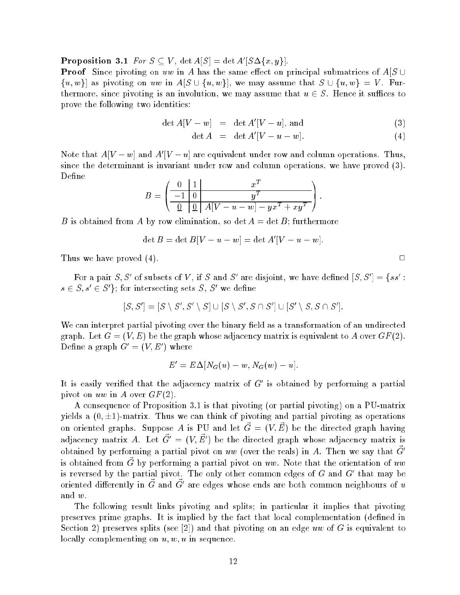**Proposition 3.1** For  $S \subseteq V$ ,  $\det A[S] = \det A'[S \Delta \{x, y\}].$ 

**Proof** Since pivoting on uw in A has the same effect on principal submatrices of  $A[S \cup$  $\{u, w\}$  as pivoting on uw in  $A[S \cup \{u, w\}],$  we may assume that  $S \cup \{u, w\} = V$ . Furthermore, since pivoting is an involution, we may assume that  $u \in S$ . Hence it suffices to prove the following two identities:

$$
\det A[V - w] = \det A'[V - u], \text{ and} \tag{3}
$$

$$
\det A = \det A'[V - u - w]. \tag{4}
$$

Note that  $A[V-w]$  and  $A'[V-u]$  are equivalent under row and column operations. Thus, since the determinant is invariant under row and column operations, we have proved (3). Define

$$
B = \left(\begin{array}{c|c} 0 & 1 & x^T \\ \hline -1 & 0 & y^T \\ \hline 0 & 0 & A[V-u-w] - yx^T + xy^T \end{array}\right).
$$

B is obtained from A by row elimination, so det  $A = \det B$ ; furthermore

$$
\det B = \det B[V - u - w] = \det A'[V - u - w].
$$

Thus we have proved (4).

For a pair  $S, S'$  of subsets of V, if S and S' are disjoint, we have defined  $[S, S'] = \{ss':$  $s \in S, s' \in S'$ ; for intersecting sets S, S' we define

$$
[S, S'] = [S \setminus S', S' \setminus S] \cup [S \setminus S', S \cap S'] \cup [S' \setminus S, S \cap S'].
$$

We can interpret partial pivoting over the binary field as a transformation of an undirected graph. Let  $G = (V, E)$  be the graph whose adjacency matrix is equivalent to A over  $GF(2)$ . Define a graph  $G' = (V, E')$  where

$$
E'=E\Delta[N_G(u)-w,N_G(w)-u].
$$

It is easily verified that the adjacency matrix of  $G'$  is obtained by performing a partial pivot on uw in A over  $GF(2)$ .

A consequence of Proposition 3.1 is that pivoting (or partial pivoting) on a PU-matrix yields a  $(0, \pm 1)$ -matrix. Thus we can think of pivoting and partial pivoting as operations on oriented graphs. Suppose A is PU and let  $\vec{G} = (V, \vec{E})$  be the directed graph having adjacency matrix A. Let  $\vec{G}' = (V, \vec{E}')$  be the directed graph whose adjacency matrix is obtained by performing a partial pivot on uw (over the reals) in A. Then we say that  $\vec{G}$ is obtained from  $\vec{G}$  by performing a partial pivot on uw. Note that the orientation of uw is reversed by the partial pivot. The only other common edges of G and  $G'$  that may be oriented differently in  $\vec{G}$  and  $\vec{G}^\prime$  are edges whose ends are both common neighbours of  $u$ and w.

The following result links pivoting and splits; in particular it implies that pivoting preserves prime graphs. It is implied by the fact that local complementation (dened in Section 2) preserves splits (see [2]) and that pivoting on an edge uw of G is equivalent to locally complementing on  $u, w, u$  in sequence.

 $\Box$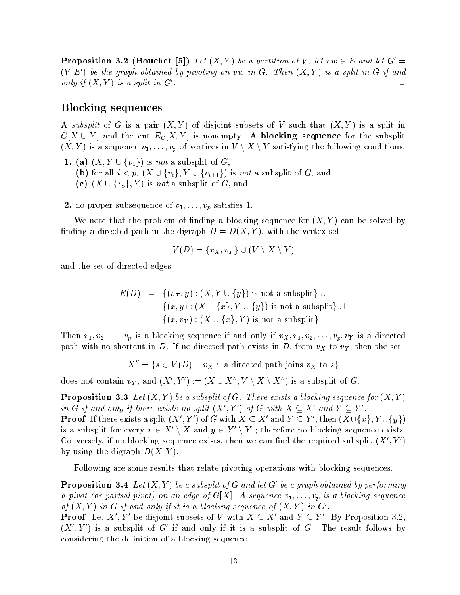**Proposition 3.2 (Bouchet [5])** Let  $(X, Y)$  be a partition of V, let  $vw \in E$  and let  $G' =$  $(V, E')$  be the graph obtained by pivoting on vw in G. Then  $(X, Y)$  is a split in G if and only if  $(X, Y)$  is a split in  $G'$ .  $\Box$ . 2002. – Andrea Maria Maria Maria Maria Maria Maria Maria Maria Maria Maria Maria Maria Maria Maria Maria Mar

### $\sim$  sequences sequences

A subsplit of G is a pair  $(X, Y)$  of disjoint subsets of V such that  $(X, Y)$  is a split in  $G[X \cup Y]$  and the cut  $E_G[X, Y]$  is nonempty. A blocking sequence for the subsplit  $(X,Y)$  is a sequence  $v_1,\ldots,v_p$  of vertices in  $V\setminus X\setminus Y$  satisfying the following conditions:

- 1. (a)  $(X, Y \cup \{v_1\})$  is not a subsplit of G, (b) for all  $i < p$ ,  $(X \cup \{v_i\}, Y \cup \{v_{i+1}\})$  is not a subsplit of G, and (c)  $(X \cup \{v_p\}, Y)$  is not a subsplit of G, and
- **2.** no proper subsequence of  $v_1, \ldots, v_p$  satisfies 1.

We note that the problem of finding a blocking sequence for  $(X, Y)$  can be solved by finding a directed path in the digraph  $D = D(X, Y)$ , with the vertex-set

$$
V(D) = \{v_X, v_Y\} \cup (V \setminus X \setminus Y)
$$

and the set of directed edges

$$
E(D) = \{(v_X, y) : (X, Y \cup \{y\}) \text{ is not a subsplit}\} \cup \{(x, y) : (X \cup \{x\}, Y \cup \{y\}) \text{ is not a subsplit}\} \cup \{(x, v_Y) : (X \cup \{x\}, Y) \text{ is not a subsplit}\}.
$$

Then  $v_1, v_2, \dots, v_p$  is a blocking sequence if and only if  $v_X, v_1, v_2, \dots, v_p, v_Y$  is a directed path with no shortcut in D. If no directed path exists in D, from  $v_X$  to  $v_Y$ , then the set

$$
X'' = \{ s \in V(D) - v_X : a directed path joins v_X to s \}
$$

does not contain  $v_Y$ , and  $(X', Y') := (X \cup X'', V \setminus X \setminus X'')$  is a subsplit of G.

**Proposition 3.3** Let  $(X, Y)$  be a subsplit of G. There exists a blocking sequence for  $(X, Y)$ in G if and only if there exists no split  $(X', Y')$  of G with  $X \subseteq X'$  and  $Y \subseteq Y'$ . **Proof** If there exists a split  $(X', Y')$  of G with  $X \subseteq X'$  and  $Y \subseteq Y'$ , then  $(X \cup \{x\}, Y \cup \{y\})$ is a subsplit for every  $x \in X' \setminus X$  and  $y \in Y' \setminus Y$ ; therefore no blocking sequence exists. Conversely, if no blocking sequence exists, then we can find the required subsplit  $(X', Y')$ by using the digraph  $D(X, Y)$ .

Following are some results that relate pivoting operations with blocking sequences.

**Proposition 3.4** Let  $(X, Y)$  be a subsplit of G and let G' be a graph obtained by performing a pivot (or partial pivot) on an edge of  $G[X]$ . A sequence  $v_1, \ldots, v_p$  is a blocking sequence of  $(X, Y)$  in G if and only if it is a blocking sequence of  $(X, Y)$  in G'.

**Proof** Let  $X', Y'$  be disjoint subsets of V with  $X \subseteq X'$  and  $Y \subseteq Y'$ . By Proposition 3.2,  $(X', Y')$  is a subsplit of G' if and only if it is a subsplit of G. The result follows by considering the definition of a blocking sequence.  $\Box$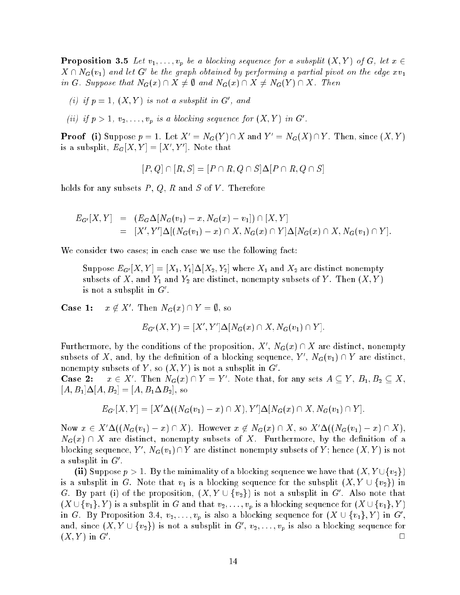**Proposition 3.5** Let  $v_1, \ldots, v_p$  be a blocking sequence for a subsplit  $(X, Y)$  of G, let  $x \in Y$  $X \cap N_G(v_1)$  and let G' be the graph obtained by performing a partial pivot on the edge  $xv_1$ in G. Suppose that  $N_G(x) \cap X \neq \emptyset$  and  $N_G(x) \cap X \neq N_G(Y) \cap X$ . Then

- (i) if  $p = 1$ ,  $(X, Y)$  is not a subsplit in G', and
- (ii) if  $p > 1$ ,  $v_2, \ldots, v_p$  is a blocking sequence for  $(X, Y)$  in G'.

**Proof** (i) Suppose  $p = 1$ . Let  $X' = N_G(Y) \cap X$  and  $Y' = N_G(X) \cap Y$ . Then, since  $(X, Y)$ is a subsplit,  $E_G|X,Y|=|X',Y'|$ . Note that

 $[P, Q] \cap [R, S] = [P \cap R, Q \cap S] \Delta[P \cap R, Q \cap S]$ 

holds for any subsets  $P, Q, R$  and  $S$  of  $V$ . Therefore

$$
E_{G'}[X,Y] = (E_G \Delta[N_G(v_1) - x, N_G(x) - v_1]) \cap [X,Y]
$$
  
= 
$$
[X', Y'] \Delta[(N_G(v_1) - x) \cap X, N_G(x) \cap Y] \Delta[N_G(x) \cap X, N_G(v_1) \cap Y].
$$

We consider two cases; in each case we use the following fact:

Suppose  $E_{G'}[X,Y] = [X_1, Y_1] \Delta [X_2, Y_2]$  where  $X_1$  and  $X_2$  are distinct nonempty subsets of X, and  $Y_1$  and  $Y_2$  are distinct, nonempty subsets of Y. Then  $(X, Y)$ is not a subsplit in  $G'$ .

 $Case 1:$  $x \notin X'$ . Then  $N_G(x) \cap Y = \emptyset$ , so

$$
E_{G'}(X,Y) = [X', Y'] \Delta [N_G(x) \cap X, N_G(v_1) \cap Y].
$$

Furthermore, by the conditions of the proposition,  $X', N_G(x) \cap X$  are distinct, nonempty subsets of X, and, by the definition of a blocking sequence, Y',  $N_G(v_1) \cap Y$  are distinct, nonempty subsets of Y, so  $(X, Y)$  is not a subsplit in  $G'$ .

 $\bf Case\,\,2:$ . Then  $N_G(x) \cap Y = Y'$ . Note that, for any sets  $A \subseteq Y$ ,  $B_1, B_2 \subseteq X$ ,  $[A, B_1]\Delta[A, B_2] = [A, B_1 \Delta B_2],$  so

$$
E_{G'}[X,Y] = [X'\Delta((N_G(v_1) - x) \cap X), Y']\Delta[N_G(x) \cap X, N_G(v_1) \cap Y].
$$

Now  $x \in X'\Delta((N_G(v_1) - x) \cap X)$ . However  $x \notin N_G(x) \cap X$ , so  $X'\Delta((N_G(v_1) - x) \cap X)$ ,  $N_G(x) \cap X$  are distinct, nonempty subsets of X. Furthermore, by the definition of a blocking sequence,  $Y', N_G(v_1) \cap Y$  are distinct nonempty subsets of Y; hence  $(X, Y)$  is not a subsplit in  $G'$ .

(ii) Suppose  $p > 1$ . By the minimality of a blocking sequence we have that  $(X, Y \cup \{v_2\})$ is a subsplit in G. Note that  $v_1$  is a blocking sequence for the subsplit  $(X, Y \cup \{v_2\})$  in G. By part (i) of the proposition,  $(X, Y \cup \{v_2\})$  is not a subsplit in G'. Also note that  $(X \cup \{v_1\}, Y)$  is a subsplit in G and that  $v_2, \ldots, v_p$  is a blocking sequence for  $(X \cup \{v_1\}, Y)$ in G. By Proposition 3.4,  $v_2, \ldots, v_p$  is also a blocking sequence for  $(X \cup \{v_1\}, Y)$  in  $G',$ and, since  $(X, Y \cup \{v_2\})$  is not a subsplit in  $G', v_2, \ldots, v_p$  is also a blocking sequence for  $(X,Y)$  in  $G'$ .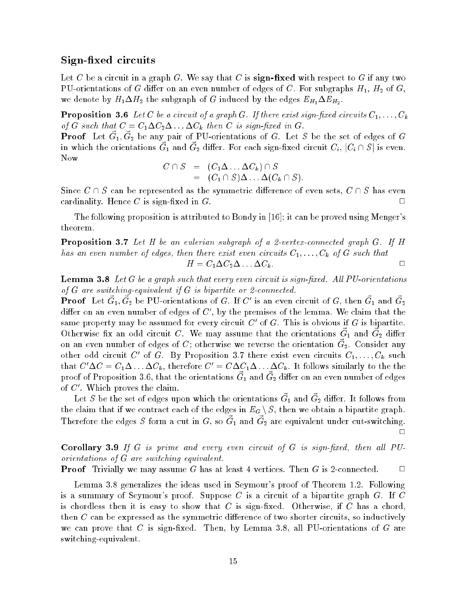### ...<u>.</u>....................

Let C be a circuit in a graph G. We say that C is sign-fixed with respect to G if any two PU-orientations of G differ on an even number of edges of C. For subgraphs  $H_1$ ,  $H_2$  of G, we denote by  $H_1 \Delta H_2$  the subgraph of G induced by the edges  $E_{H_1} \Delta E_{H_2}$ .

**Proposition 3.6** Let  $C$  be a circuit of a graph  $G$ . If there exist sign-fixed circuits  $C_1, \ldots, C_k$ of G such that  $C = C_1 \Delta C_2 \Delta \ldots \Delta C_k$  then C is sign-fixed in G.

**Proof** Let  $\vec{G}_1, \vec{G}_2$  be any pair of PU-orientations of G. Let S be the set of edges of G in which the orientations  $\vec{G}_1$  and  $\vec{G}_2$  differ. For each sign-fixed circuit  $C_i$ ,  $|C_i \cap S|$  is even. Now

$$
C \cap S = (C_1 \Delta \dots \Delta C_k) \cap S
$$
  
=  $(C_1 \cap S) \Delta \dots \Delta (C_k \cap S).$ 

Since  $C \cap S$  can be represented as the symmetric difference of even sets,  $C \cap S$  has even  $\alpha$  cardinality. Hence  $C$  is sign-fixed in  $G$ .

The following proposition is attributed to Bondy in [16]; it can be proved using Menger's theorem.

**Proposition 3.7** Let H be an eulerian subgraph of a 2-vertex-connected graph G. If H has an even number of edges, then there exist even circuits  $C_1, \ldots, C_k$  of G such that  $H = C_1 \Delta C_2 \Delta \ldots \Delta C_k.$ 

**Lemma 3.8** Let G be a graph such that every even circuit is sign-fixed. All PU-orientations of  $G$  are switching-equivalent if  $G$  is bipartite or 2-connected.

**Proof** Let  $\vec{G}_1, \vec{G}_2$  be PU-orientations of G. If C' is an even circuit of G, then  $\vec{G}_1$  and  $\vec{G}_2$ differ on an even number of edges of  $C'$ , by the premises of the lemma. We claim that the same property may be assumed for every circuit C' of G. This is obvious if G is bipartite. Otherwise fix an odd circuit C. We may assume that the orientations  $\vec{G}_1$  and  $\vec{G}_2$  differ on an even number of edges of C; otherwise we reverse the orientation  $\vec{G}_2$ . Consider any other odd circuit C' of G. By Proposition 3.7 there exist even circuits  $C_1, \ldots, C_k$  such that  $C'\Delta C = C_1\Delta \ldots \Delta C_k$ , therefore  $C' = C\Delta C_1\Delta \ldots \Delta C_k$ . It follows similarly to the the proof of Proposition 3.6, that the orientations  $\vec{G}_1$  and  $\vec{G}_2$  differ on an even number of edges of  $C'$ . Which proves the claim.

Let S be the set of edges upon which the orientations  $\vec{G}_1$  and  $\vec{G}_2$  differ. It follows from the claim that if we contract each of the edges in  $E_G \setminus S$ , then we obtain a bipartite graph. Therefore the edges S form a cut in G, so  $\vec{G}_1$  and  $\vec{G}_2$  are equivalent under cut-switching.  $\Box$ 

**Corollary 3.9** If  $G$  is prime and every even circuit of  $G$  is sign-fixed, then all PUorientations of G are switching equivalent.

**Proof** Trivially we may assume G has at least 4 vertices. Then G is 2-connected.  $\Box$ 

Lemma 3.8 generalizes the ideas used in Seymour's proof of Theorem 1.2. Following is a summary of Seymour's proof. Suppose  $C$  is a circuit of a bipartite graph  $G$ . If  $C$ is chordless then it is easy to show that  $C$  is sign-fixed. Otherwise, if  $C$  has a chord, then  $C$  can be expressed as the symmetric difference of two shorter circuits, so inductively we can prove that  $C$  is sign-fixed. Then, by Lemma 3.8, all PU-orientations of  $G$  are switching-equivalent.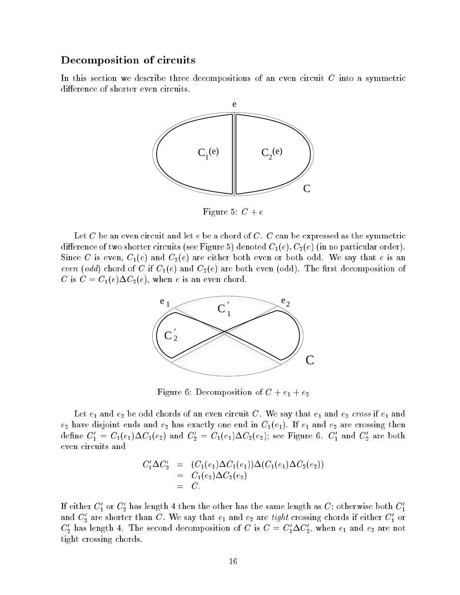### Decomposition of circuits

In this section we describe three decompositions of an even circuit C into a symmetric difference of shorter even circuits.



Figure 5:  $C + e$ 

Let C be an even circuit and let  $e$  be a chord of C. C can be expressed as the symmetric difference of two shorter circuits (see Figure 5) denoted  $C_1(e), C_2(e)$  (in no particular order). Since C is even,  $C_1(e)$  and  $C_2(e)$  are either both even or both odd. We say that e is an even (odd) chord of C if  $C_1(e)$  and  $C_2(e)$  are both even (odd). The first decomposition of C is  $C = C_1(e) \Delta C_2(e)$ , when e is an even chord.



Figure 6: Decomposition of  $C + e_1 + e_2$ 

Let  $e_1$  and  $e_2$  be odd chords of an even circuit C. We say that  $e_1$  and  $e_2$  cross if  $e_1$  and  $e_2$  have disjoint ends and  $e_2$  has exactly one end in  $C_1(e_1)$ . If  $e_1$  and  $e_2$  are crossing then define  $C_1' = C_1(e_1) \Delta C_1(e_2)$  and  $C_2' = C_1(e_1) \Delta C_2(e_2)$ ; see Figure 6.  $C_1'$  and  $C_2'$  are both even circuits and

$$
C_1' \Delta C_2' = (C_1(e_1) \Delta C_1(e_1)) \Delta (C_1(e_1) \Delta C_2(e_2))
$$
  
= C\_1(e\_2) \Delta C\_2(e\_2)  
= C.

If either  $C_1'$  or  $C_2'$  has length 4 then the other has the same length as  $C;$  otherwise both  $C_1'$ and  $C_2'$  are shorter than C. We say that  $e_1$  and  $e_2$  are tight crossing chords if either  $C_1'$  or  $C_2'$  has length 4. The second decomposition of C is  $C = C_1' \Delta C_2'$ , when  $e_1$  and  $e_2$  are not tight crossing chords.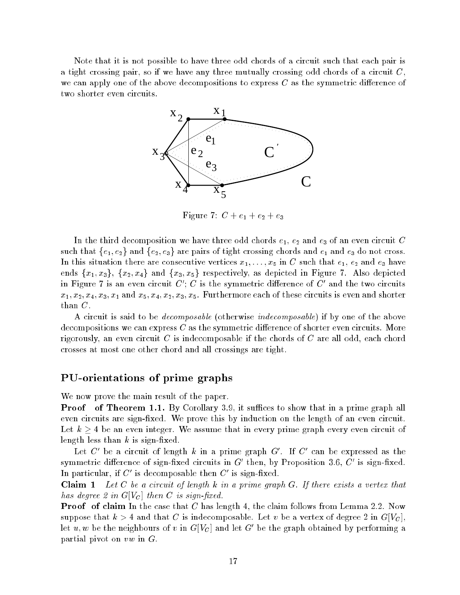Note that it is not possible to have three odd chords of a circuit such that each pair is a tight crossing pair, so if we have any three mutually crossing odd chords of a circuit  $C$ , we can apply one of the above decompositions to express  $C$  as the symmetric difference of two shorter even circuits.



Figure 7:  $C + e_1 + e_2 + e_3$ 

In the third decomposition we have three odd chords  $e_1, e_2$  and  $e_3$  of an even circuit C such that  $\{e_1, e_2\}$  and  $\{e_2, e_3\}$  are pairs of tight crossing chords and  $e_1$  and  $e_3$  do not cross. In this situation there are consecutive vertices  $x_1, \ldots, x_5$  in C such that  $e_1, e_2$  and  $e_3$  have ends  $\{x_1, x_3\}$ ,  $\{x_2, x_4\}$  and  $\{x_3, x_5\}$  respectively, as depicted in Figure 7. Also depicted in Figure 7 is an even circuit  $C'$ : C is the symmetric difference of  $C'$  and the two circuits  $x_1, x_2, x_4, x_3, x_1$  and  $x_5, x_4, x_2, x_3, x_5$ . Furthermore each of these circuits is even and shorter than C.

A circuit is said to be *decomposable* (otherwise *indecomposable*) if by one of the above decompositions we can express  $C$  as the symmetric difference of shorter even circuits. More rigorously, an even circuit  $C$  is indecomposable if the chords of  $C$  are all odd, each chord crosses at most one other chord and all crossings are tight.

### PU-orientations of prime graphs

We now prove the main result of the paper.

**Proof** of Theorem 1.1. By Corollary 3.9, it suffices to show that in a prime graph all even circuits are sign-fixed. We prove this by induction on the length of an even circuit. Let  $k \geq 4$  be an even integer. We assume that in every prime graph every even circuit of length less than  $k$  is sign-fixed.

Let C' be a circuit of length k in a prime graph  $G'$ . If C' can be expressed as the symmetric difference of sign-fixed circuits in  $G'$  then, by Proposition 3.6,  $C'$  is sign-fixed. In particular, if C' is decomposable then C' is sign-fixed.

**Claim 1** Let C be a circuit of length  $k$  in a prime graph  $G$ . If there exists a vertex that has degree 2 in  $G[V_C]$  then C is sign-fixed.

**Proof** of claim In the case that C has length 4, the claim follows from Lemma 2.2. Now suppose that  $k > 4$  and that C is indecomposable. Let v be a vertex of degree 2 in  $G[V_C]$ , let u, w be the neighbours of v in  $G[V_C]$  and let  $G'$  be the graph obtained by performing a partial pivot on vw in G.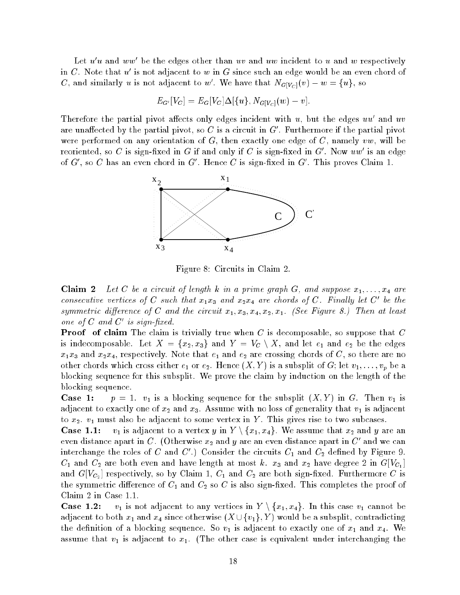Let  $u\;u$  and  $ww$  be the edges other than  $uv$  and  $uw$  incident to  $u$  and  $w$  respectively in C. Note that  $u'$  is not adjacent to w in G since such an edge would be an even chord of C, and similarly  $u$  is not adjacent to  $w'$ . We have that  $N_{G[V_C]}(v) - w = \{u\}$ , so

$$
E_{G'}[V_C] = E_G[V_C]\Delta[\{u\}, N_{G[V_C]}(w) - v].
$$

Therefore the partial pivot affects only edges incident with  $u$ , but the edges  $uu$  and  $uv$ are unaffected by the partial pivot, so C is a circuit in  $G'$ . Furthermore if the partial pivot were performed on any orientation of  $G$ , then exactly one edge of  $C$ , namely vw, will be reoriented, so C is sign-fixed in G if and only if C is sign-fixed in G'. Now  $uw'$  is an edge of G', so C has an even chord in G'. Hence C is sign-fixed in  $G'$ . This proves Claim 1.



Figure 8: Circuits in Claim 2.

**Claim 2** Let C be a circuit of length k in a prime graph G, and suppose  $x_1, \ldots, x_4$  are consecutive vertices of C such that  $x_1x_3$  and  $x_2x_4$  are chords of C. Finally let C' be the symmetric difference of C and the circuit  $x_1, x_3, x_4, x_2, x_1$ . (See Figure 8.) Then at least one of  $C$  and  $C'$  is sign-fixed.

**Proof of claim** The claim is trivially true when  $C$  is decomposable, so suppose that  $C$ is indecomposable. Let  $X = \{x_2, x_3\}$  and  $Y = V_C \setminus X$ , and let  $e_1$  and  $e_2$  be the edges  $x_1x_3$  and  $x_2x_4$ , respectively. Note that  $e_1$  and  $e_2$  are crossing chords of C, so there are no other chords which cross either  $e_1$  or  $e_2$ . Hence  $(X, Y)$  is a subsplit of G; let  $v_1, \ldots, v_p$  be a blocking sequence for this subsplit. We prove the claim by induction on the length of the blocking sequence.

**Case 1:**  $p = 1$ .  $v_1$  is a blocking sequence for the subsplit  $(X, Y)$  in G. Then  $v_1$  is adjacent to exactly one of  $x_2$  and  $x_3$ . Assume with no loss of generality that  $v_1$  is adjacent to  $x_2$ .  $v_1$  must also be adjacent to some vertex in Y. This gives rise to two subcases.

**Case 1.1:**  $v_1$  is adjacent to a vertex y in  $Y \setminus \{x_1, x_4\}$ . We assume that  $x_2$  and y are an even distance apart in C. (Otherwise  $x_2$  and  $y$  are an even distance apart in  $C'$  and we can interchange the roles of C and C'.) Consider the circuits  $C_1$  and  $C_2$  defined by Figure 9.  $C_1$  and  $C_2$  are both even and have length at most  $k$ .  $x_3$  and  $x_2$  have degree 2 in  $G[V_{C_1}]$ and  $G[V_{C_2}]$  respectively, so by Claim 1,  $C_1$  and  $C_2$  are both sign-fixed. Furthermore C is the symmetric difference of  $C_1$  and  $C_2$  so C is also sign-fixed. This completes the proof of Claim 2 in Case 1.1.

**Case 1.2:**  $v_1$  is not adjacent to any vertices in  $Y \setminus \{x_1, x_4\}$ . In this case  $v_1$  cannot be adjacent to both  $x_1$  and  $x_4$  since otherwise  $(X \cup \{v_1\}, Y)$  would be a subsplit, contradicting the definition of a blocking sequence. So  $v_1$  is adjacent to exactly one of  $x_1$  and  $x_4$ . We assume that  $v_1$  is adjacent to  $x_1$ . (The other case is equivalent under interchanging the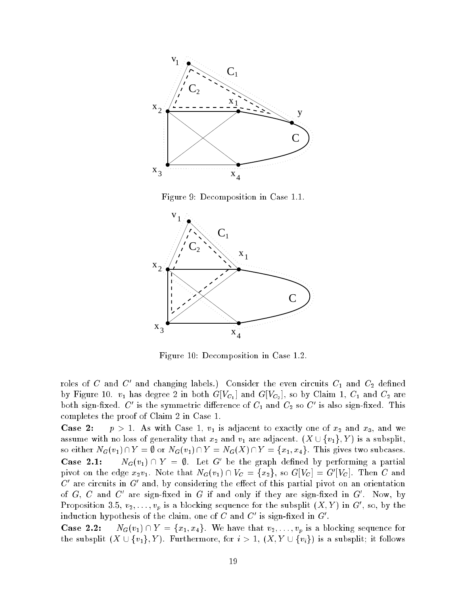

Figure 9: Decomposition in Case 1.1.



Figure 10: Decomposition in Case 1.2.

roles of C and C' and changing labels.) Consider the even circuits  $C_1$  and  $C_2$  defined by Figure 10.  $v_1$  has degree 2 in both  $G[V_{C_1}]$  and  $G[V_{C_2}]$ , so by Claim 1,  $C_1$  and  $C_2$  are both sign-fixed. C' is the symmetric difference of  $C_1$  and  $C_2$  so C' is also sign-fixed. This completes the proof of Claim 2 in Case 1.

**Case 2:**  $p > 1$ . As with Case 1,  $v_1$  is adjacent to exactly one of  $x_2$  and  $x_3$ , and we assume with no loss of generality that  $x_2$  and  $v_1$  are adjacent.  $(X \cup \{v_1\}, Y)$  is a subsplit, so either  $N_G(v_1) \cap Y = \emptyset$  or  $N_G(v_1) \cap Y = N_G(X) \cap Y = \{x_1, x_4\}$ . This gives two subcases. **Case 2.1:**  $N_G(v_1) \cap Y = \emptyset$ . Let G' be the graph defined by performing a partial pivot on the edge  $x_2v_1$ . Note that  $N_G(v_1) \cap V_C = \{x_2\}$ , so  $G[V_C] = G'[V_C]$ . Then C and  $C<sup>'</sup>$  are circuits in  $G<sup>'</sup>$  and, by considering the effect of this partial pivot on an orientation of G, C and C' are sign-fixed in G if and only if they are sign-fixed in  $G'$ . Now, by Proposition 3.5,  $v_2, \ldots, v_p$  is a blocking sequence for the subsplit  $(X, Y)$  in  $G'$ , so, by the induction hypothesis of the claim, one of C and C' is sign-fixed in  $G'$ .

**Case 2.2:**  $N_G(v_1) \cap Y = \{x_1, x_4\}.$  We have that  $v_2, \ldots, v_p$  is a blocking sequence for the subsplit  $(X \cup \{v_1\}, Y)$ . Furthermore, for  $i > 1$ ,  $(X, Y \cup \{v_i\})$  is a subsplit; it follows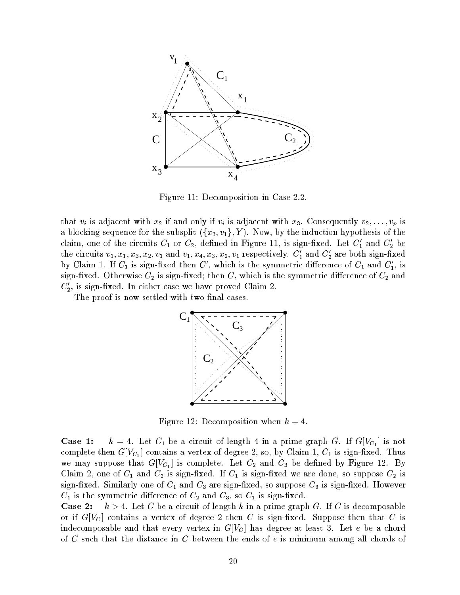

Figure 11: Decomposition in Case 2.2.

that  $v_i$  is adjacent with  $x_2$  if and only if  $v_i$  is adjacent with  $x_3$ . Consequently  $v_2, \ldots, v_p$  is a blocking sequence for the subsplit  $(\{x_2, v_1\}, Y)$ . Now, by the induction hypothesis of the claim, one of the circuits  $C_1$  or  $C_2$ , defined in Figure 11, is sign-fixed. Let  $C_1'$  and  $C_2'$  be the circuits  $v_1, x_1, x_3, x_2, v_1$  and  $v_1, x_4, x_3, x_2, v_1$  respectively.  $C'_1$  and  $C'_2$  are both sign-fixed by Claim 1. If  $C_1$  is sign-fixed then C', which is the symmetric difference of  $C_1$  and  $C_1'$ , is sign-fixed. Otherwise  $C_2$  is sign-fixed; then  $C,$  which is the symmetric difference of  $C_2$  and  $C_2'$ , is sign-fixed. In either case we have proved Claim 2.

The proof is now settled with two final cases.



Figure 12: Decomposition when  $k = 4$ .

**Case 1:**  $k = 4$ . Let  $C_1$  be a circuit of length 4 in a prime graph G. If  $G[V_{C_1}]$  is not complete then  $G[V_{C_1}]$  contains a vertex of degree 2, so, by Claim 1,  $C_1$  is sign-fixed. Thus we may suppose that  $G[V_{C_1}]$  is complete. Let  $C_2$  and  $C_3$  be defined by Figure 12. By Claim 2, one of  $C_1$  and  $C_2$  is sign-fixed. If  $C_1$  is sign-fixed we are done, so suppose  $C_2$  is sign-fixed. Similarly one of  $C_1$  and  $C_3$  are sign-fixed, so suppose  $C_3$  is sign-fixed. However  $C_1$  is the symmetric difference of  $C_2$  and  $C_3$ , so  $C_1$  is sign-fixed.

**Case 2:**  $k > 4$ . Let C be a circuit of length k in a prime graph G. If C is decomposable or if  $G[V_C]$  contains a vertex of degree 2 then C is sign-fixed. Suppose then that C is indecomposable and that every vertex in  $G[V_C]$  has degree at least 3. Let e be a chord of C such that the distance in C between the ends of <sup>e</sup> is minimum among all chords of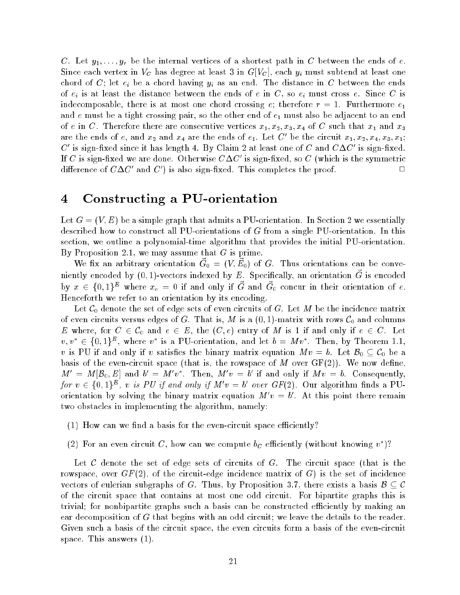C. Let  $y_1, \ldots, y_r$  be the internal vertices of a shortest path in C between the ends of e. Since each vertex in  $V_C$  has degree at least 3 in  $G[V_C]$ , each  $y_i$  must subtend at least one chord of C; let  $e_i$  be a chord having  $y_i$  as an end. The distance in C between the ends of  $e_i$  is at least the distance between the ends of e in C, so  $e_i$  must cross e. Since C is indecomposable, there is at most one chord crossing e; therefore  $r = 1$ . Furthermore  $e_1$ and  $e$  must be a tight crossing pair, so the other end of  $e_1$  must also be adjacent to an end of e in C. Therefore there are consecutive vertices  $x_1, x_2, x_3, x_4$  of C such that  $x_1$  and  $x_3$ are the ends of e, and  $x_2$  and  $x_4$  are the ends of  $e_1$ . Let C' be the circuit  $x_1, x_2, x_4, x_3, x_1;$ C' is sign-fixed since it has length 4. By Claim 2 at least one of C and  $C\Delta C'$  is sign-fixed. If C is sign-fixed we are done. Otherwise  $C\Delta C'$  is sign-fixed, so C (which is the symmetric difference of  $C\Delta C'$  and  $C'$ ) is also sign-fixed. This completes the proof.

#### 4Constructing <sup>a</sup> PU-orientation

Let  $G = (V, E)$  be a simple graph that admits a PU-orientation. In Section 2 we essentially described how to construct all PU-orientations of G from a single PU-orientation. In this section, we outline a polynomial-time algorithm that provides the initial PU-orientation. By Proposition 2.1, we may assume that  $G$  is prime.

We fix an arbitrary orientation  $\vec{G}_0 = (V, \vec{E}_0)$  of G. Thus orientations can be conveniently encoded by  $(0,1)$ -vectors indexed by E. Specifically, an orientation  $\vec{G}$  is encoded by  $x \in \{0,1\}^E$  where  $x_e = 0$  if and only if  $\vec{G}$  and  $\vec{G}_0$  concur in their orientation of e. Henceforth we refer to an orientation by its encoding.

Let  $\mathcal{C}_0$  denote the set of edge sets of even circuits of G. Let M be the incidence matrix of even circuits versus edges of G. That is, M is a  $(0, 1)$ -matrix with rows  $\mathcal{C}_0$  and columns E where, for  $C \in \mathcal{C}_0$  and  $e \in E$ , the  $(C, e)$  entry of M is 1 if and only if  $e \in C$ . Let  $v, v^* \in \{0,1\}^E$ , where  $v^*$  is a PU-orientation, and let  $b = Mv^*$ . Then, by Theorem 1.1, v is PU if and only if v satisfies the binary matrix equation  $Mv = b$ . Let  $\mathcal{B}_0 \subseteq \mathcal{C}_0$  be a basis of the even-circuit space (that is, the rowspace of M over  $GF(2)$ ). We now define,  $M' = M[\mathcal{B}_0, E] \hspace{1mm}\text{and}\hspace{1mm} b' = M'v^*. \hspace{1mm}\text{Then,}\hspace{1mm} M'v = b' \hspace{1mm}\text{if and only if}\hspace{1mm} Mv = b. \hspace{1mm}\text{Consequently,}$ for  $v \in \{0,1\}^E$ , v is PU if and only if  $M'v = b'$  over  $GF(2)$ . Our algorithm finds a PUorientation by solving the binary matrix equation  $M'v = b'$ . At this point there remain two obstacles in implementing the algorithm, namely:

- $(1)$  How can we find a basis for the even-circuit space efficiently?
- (2) For an even circuit C, how can we compute  $b<sub>C</sub>$  efficiently (without knowing  $v^*$ )?

Let C denote the set of edge sets of circuits of G. The circuit space (that is the rowspace, over  $GF(2)$ , of the circuit-edge incidence matrix of G) is the set of incidence vectors of eulerian subgraphs of G. Thus, by Proposition 3.7, there exists a basis  $\mathcal{B} \subseteq \mathcal{C}$ of the circuit space that contains at most one odd circuit. For bipartite graphs this is trivial; for nonbipartite graphs such a basis can be constructed efficiently by making an ear decomposition of G that begins with an odd circuit; we leave the details to the reader. Given such a basis of the circuit space, the even circuits form a basis of the even-circuit space. This answers (1).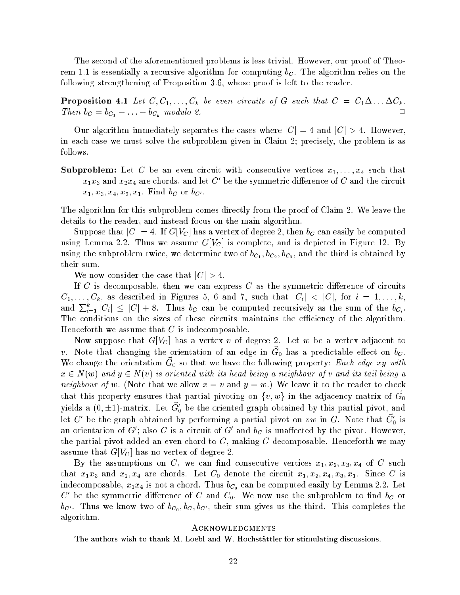The second of the aforementioned problems is less trivial. However, our proof of Theorem 1.1 is essentially a recursive algorithm for computing  $b<sub>C</sub>$ . The algorithm relies on the following strengthening of Proposition 3.6, whose proof is left to the reader.

**Proposition 4.1** Let  $C, C_1, \ldots, C_k$  be even circuits of G such that  $C = C_1 \Delta \ldots \Delta C_k$ . Then  $b_C = b_{C_1} + \ldots + b_{C_k}$  modulo 2.

Our algorithm immediately separates the cases where  $|C|=4$  and  $|C|>4$ . However, in each case we must solve the subproblem given in Claim 2; precisely, the problem is as follows.

**Subproblem:** Let C be an even circuit with consecutive vertices  $x_1, \ldots, x_4$  such that  $x_1x_3$  and  $x_2x_4$  are chords, and let C' be the symmetric difference of C and the circuit  $x_1, x_3, x_4, x_2, x_1$ . Find  $b_C$  or  $b_{C'}$ .

The algorithm for this subproblem comes directly from the proof of Claim 2. We leave the details to the reader, and instead focus on the main algorithm.

Suppose that  $|C|=4$ . If  $G[V_C]$  has a vertex of degree 2, then  $b_C$  can easily be computed using Lemma 2.2. Thus we assume  $G[V_C]$  is complete, and is depicted in Figure 12. By using the subproblem twice, we determine two of  $b_{C_1}, b_{C_2}, b_{C_3}$ , and the third is obtained by their sum.

We now consider the case that  $|C| > 4$ .

If C is decomposable, then we can express C as the symmetric difference of circuits  $C_1, \ldots, C_k$ , as described in Figures 5, 6 and 7, such that  $|C_i|$  <  $|C|$ , for  $i = 1, \ldots, k$ , and  $\sum_{i=1}^k |C_i| \leq |C| + 8$ . Thus  $b_C$  can be computed recursively as the sum of the  $b_{C_i}$ . The conditions on the sizes of these circuits maintains the efficiency of the algorithm. Henceforth we assume that  $C$  is indecomposable.

Now suppose that  $G[V_C]$  has a vertex v of degree 2. Let w be a vertex adjacent to v. Note that changing the orientation of an edge in  $\vec{G}_0$  has a predictable effect on  $b_C$ . We change the orientation  $\vec{G}_0$  so that we have the following property: Each edge xy with  $x \in N(w)$  and  $y \in N(v)$  is oriented with its head being a neighbour of v and its tail being a neighbour of w. (Note that we allow  $x = v$  and  $y = w$ .) We leave it to the reader to check that this property ensures that partial pivoting on  $\{v,w\}$  in the adjacency matrix of  $\vec{G}_0$ yields a  $(0, \pm 1)$ -matrix. Let  $\vec{G}'_0$  be the oriented graph obtained by this partial pivot, and let G' be the graph obtained by performing a partial pivot on vw in G. Note that  $\vec{G}'_0$  is an orientation of G'; also C is a circuit of G' and  $b<sub>C</sub>$  is unaffected by the pivot. However, the partial pivot added an even chord to  $C$ , making  $C$  decomposable. Henceforth we may assume that  $G[V_C]$  has no vertex of degree 2.

By the assumptions on C, we can find consecutive vertices  $x_1, x_2, x_3, x_4$  of C such that  $x_1x_3$  and  $x_2, x_4$  are chords. Let  $C_0$  denote the circuit  $x_1, x_2, x_4, x_3, x_1$ . Since C is indecomposable,  $x_1x_4$  is not a chord. Thus  $b_{C_0}$  can be computed easily by Lemma 2.2. Let C' be the symmetric difference of C and  $C_0$ . We now use the subproblem to find  $b_C$  or  $b_{C'}$ . Thus we know two of  $b_{C_0}, b_{C}, b_{C'}$ , their sum gives us the third. This completes the algorithm.

### Acknowledgments

The authors wish to thank M. Loebl and W. Hochstättler for stimulating discussions.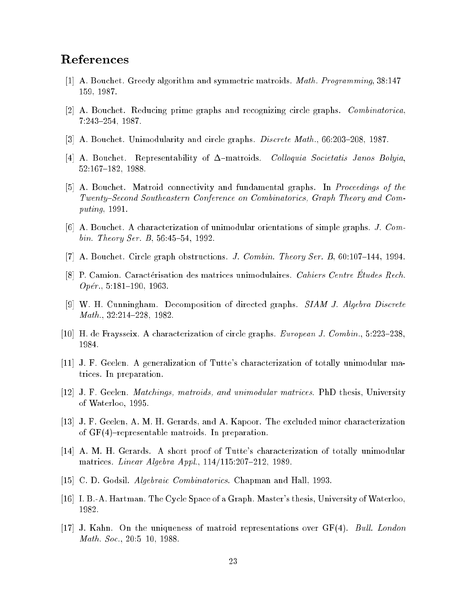# References

- $[1]$  A. Bouchet. Greedy algorithm and symmetric matroids. *Math. Programming*, 38:147-159, 1987.
- [2] A. Bouchet. Reducing prime graphs and recognizing circle graphs. Combinatorica, 7:243-254, 1987.
- [3] A. Bouchet. Unimodularity and circle graphs. *Discrete Math.*,  $66:203-208$ , 1987.
- [4] A. Bouchet. Representability of  $\Delta$ -matroids. Colloquia Societatis Janos Bolyia, 52:167-182, 1988.
- [5] A. Bouchet. Matroid connectivity and fundamental graphs. In Proceedings of the Twenty–Second Southeastern Conference on Combinatorics, Graph Theory and Computing, 1991.
- [6] A. Bouchet. A characterization of unimodular orientations of simple graphs. J. Combin. Theory Ser. B,  $56:45{-}54$ , 1992.
- [7] A. Bouchet. Circle graph obstructions. *J. Combin. Theory Ser. B*,  $60:107{-}144$ , 1994.
- [8] P. Camion. Caractérisation des matrices unimodulaires. Cahiers Centre Etudes Rech.  $Opér., 5:181–190, 1963.$
- [9] W. H. Cunningham. Decomposition of directed graphs.  $SIAM$  J. Algebra Discrete  $Math., 32:214–228, 1982.$
- [10] H. de Fraysseix. A characterization of circle graphs.  $European J. Combin. 5:223-238$ , 1984.
- [11] J. F. Geelen. A generalization of Tutte's characterization of totally unimodular matrices. In preparation.
- [12] J. F. Geelen. Matchings, matroids, and unimodular matrices. PhD thesis, University of Waterloo, 1995.
- [13] J. F. Geelen, A. M. H. Gerards, and A. Kapoor. The excluded minor characterization of  $GF(4)$ -representable matroids. In preparation.
- [14] A. M. H. Gerards. A short proof of Tutte's characterization of totally unimodular matrices. *Linear Algebra Appl.*,  $114/115:207-212$ , 1989.
- [15] C. D. Godsil. *Algebraic Combinatorics*. Chapman and Hall, 1993.
- $[16]$  I. B.-A. Hartman. The Cycle Space of a Graph. Master's thesis, University of Waterloo, 1982.
- [17] J. Kahn. On the uniqueness of matroid representations over GF(4). Bull. London Math. Soc.,  $20:5{-}10$ , 1988.